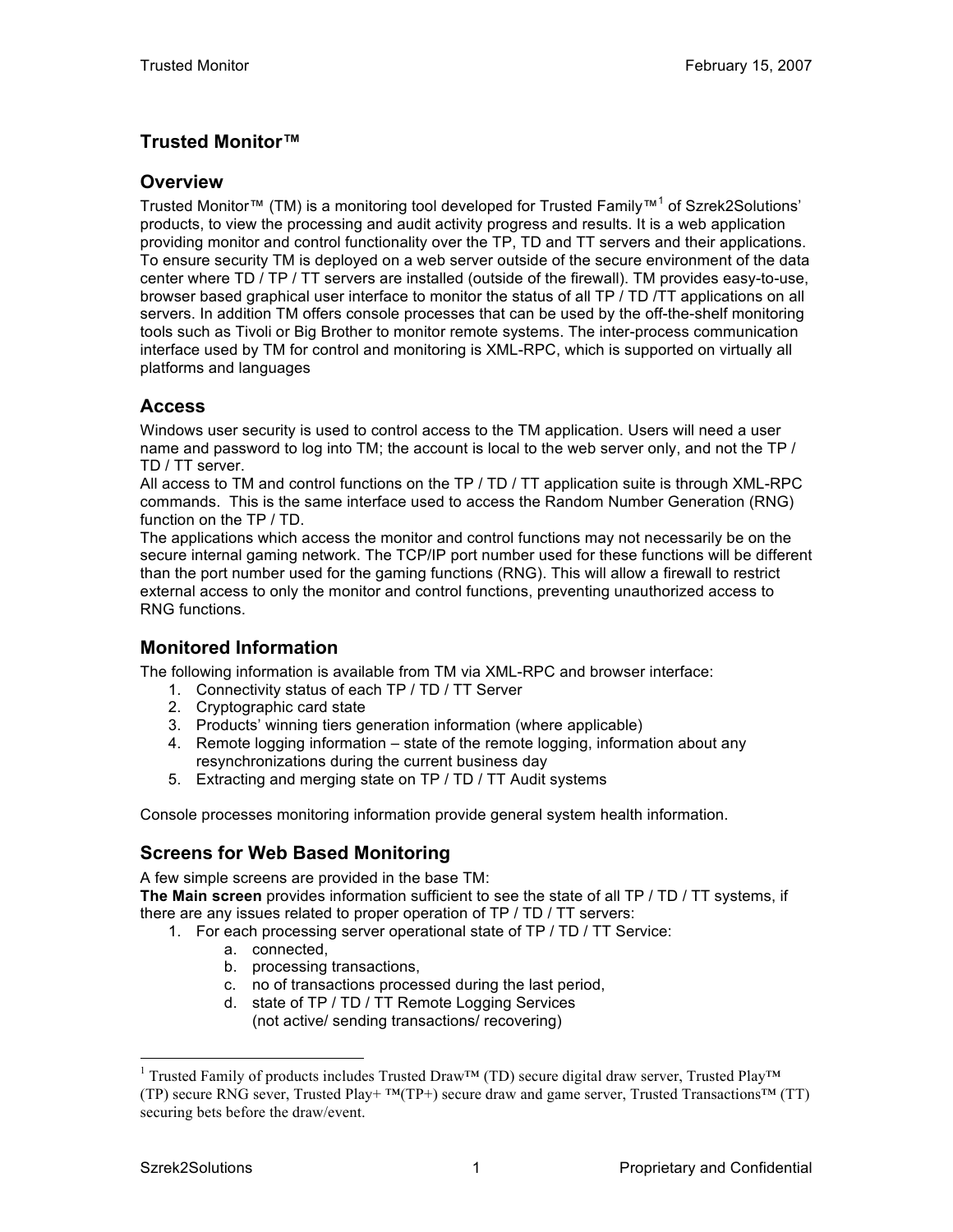# **Trusted Monitor™**

#### **Overview**

Trusted Monitor™ (TM) is a monitoring tool developed for Trusted Family™<sup>1</sup> of Szrek2Solutions' products, to view the processing and audit activity progress and results. It is a web application providing monitor and control functionality over the TP, TD and TT servers and their applications. To ensure security TM is deployed on a web server outside of the secure environment of the data center where TD / TP / TT servers are installed (outside of the firewall). TM provides easy-to-use, browser based graphical user interface to monitor the status of all TP / TD /TT applications on all servers. In addition TM offers console processes that can be used by the off-the-shelf monitoring tools such as Tivoli or Big Brother to monitor remote systems. The inter-process communication interface used by TM for control and monitoring is XML-RPC, which is supported on virtually all platforms and languages

## **Access**

Windows user security is used to control access to the TM application. Users will need a user name and password to log into TM; the account is local to the web server only, and not the TP / TD / TT server.

All access to TM and control functions on the TP / TD / TT application suite is through XML-RPC commands. This is the same interface used to access the Random Number Generation (RNG) function on the TP / TD.

The applications which access the monitor and control functions may not necessarily be on the secure internal gaming network. The TCP/IP port number used for these functions will be different than the port number used for the gaming functions (RNG). This will allow a firewall to restrict external access to only the monitor and control functions, preventing unauthorized access to RNG functions.

### **Monitored Information**

The following information is available from TM via XML-RPC and browser interface:

- 1. Connectivity status of each TP / TD / TT Server
- 2. Cryptographic card state
- 3. Products' winning tiers generation information (where applicable)
- 4. Remote logging information state of the remote logging, information about any resynchronizations during the current business day
- 5. Extracting and merging state on TP / TD / TT Audit systems

Console processes monitoring information provide general system health information.

## **Screens for Web Based Monitoring**

A few simple screens are provided in the base TM: **The Main screen** provides information sufficient to see the state of all TP / TD / TT systems, if there are any issues related to proper operation of TP / TD / TT servers:

- 1. For each processing server operational state of TP / TD / TT Service:
	- a. connected,
	- b. processing transactions,
	- c. no of transactions processed during the last period,
	- d. state of TP / TD / TT Remote Logging Services (not active/ sending transactions/ recovering)

<sup>&</sup>lt;sup>1</sup> Trusted Family of products includes Trusted Draw™ (TD) secure digital draw server, Trusted Play™ (TP) secure RNG sever, Trusted Play+ ™(TP+) secure draw and game server, Trusted Transactions™ (TT) securing bets before the draw/event.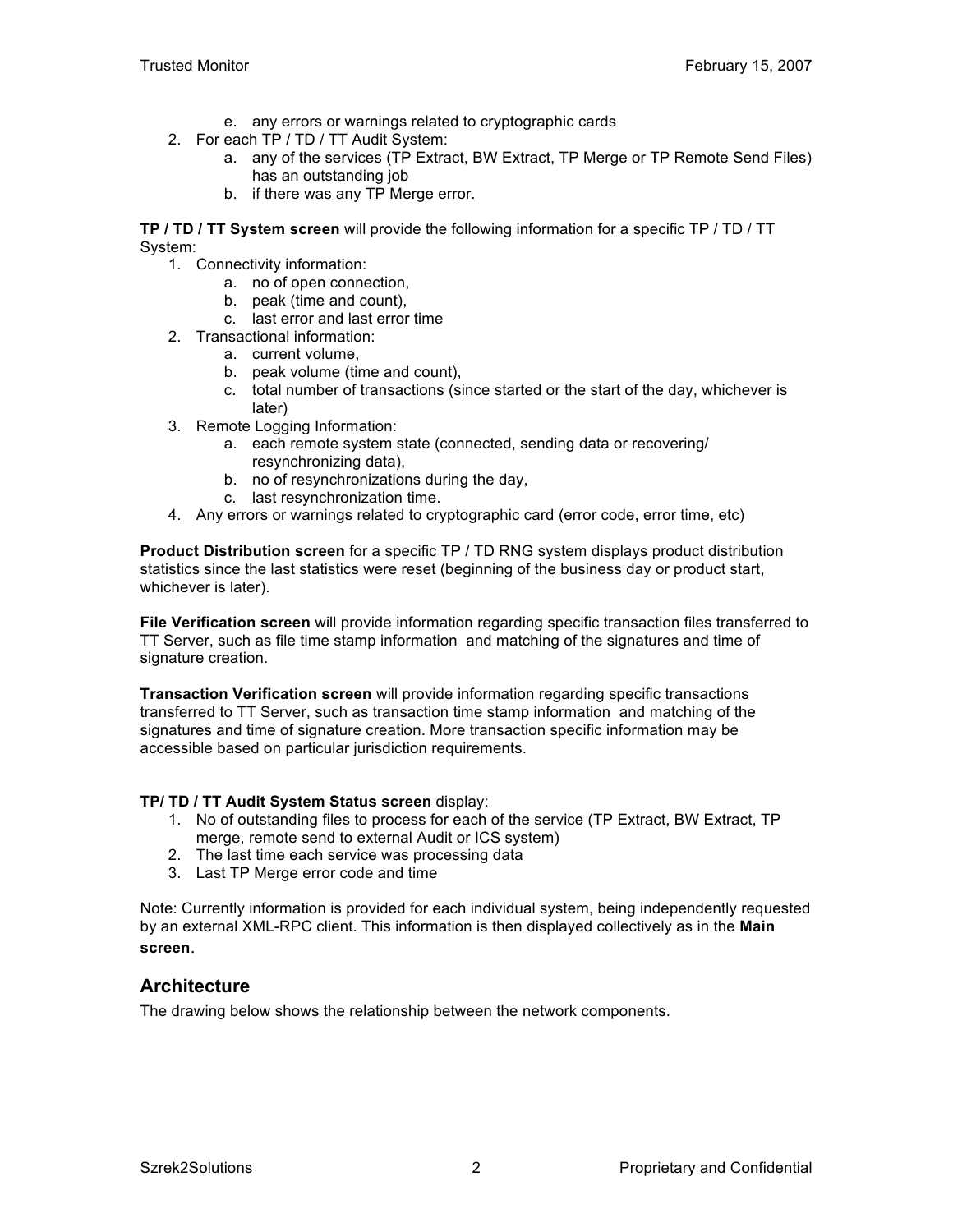- e. any errors or warnings related to cryptographic cards
- 2. For each TP / TD / TT Audit System:
	- a. any of the services (TP Extract, BW Extract, TP Merge or TP Remote Send Files) has an outstanding job
	- b. if there was any TP Merge error.

**TP / TD / TT System screen** will provide the following information for a specific TP / TD / TT System:

- 1. Connectivity information:
	- a. no of open connection,
	- b. peak (time and count),
	- c. last error and last error time
- 2. Transactional information:
	- a. current volume,
	- b. peak volume (time and count),
	- c. total number of transactions (since started or the start of the day, whichever is later)
- 3. Remote Logging Information:
	- a. each remote system state (connected, sending data or recovering/ resynchronizing data),
	- b. no of resynchronizations during the day,
	- c. last resynchronization time.
- 4. Any errors or warnings related to cryptographic card (error code, error time, etc)

**Product Distribution screen** for a specific TP / TD RNG system displays product distribution statistics since the last statistics were reset (beginning of the business day or product start, whichever is later).

**File Verification screen** will provide information regarding specific transaction files transferred to TT Server, such as file time stamp information and matching of the signatures and time of signature creation.

**Transaction Verification screen** will provide information regarding specific transactions transferred to TT Server, such as transaction time stamp information and matching of the signatures and time of signature creation. More transaction specific information may be accessible based on particular jurisdiction requirements.

#### **TP/ TD / TT Audit System Status screen** display:

- 1. No of outstanding files to process for each of the service (TP Extract, BW Extract, TP merge, remote send to external Audit or ICS system)
- 2. The last time each service was processing data
- 3. Last TP Merge error code and time

Note: Currently information is provided for each individual system, being independently requested by an external XML-RPC client. This information is then displayed collectively as in the **Main screen**.

## **Architecture**

The drawing below shows the relationship between the network components.